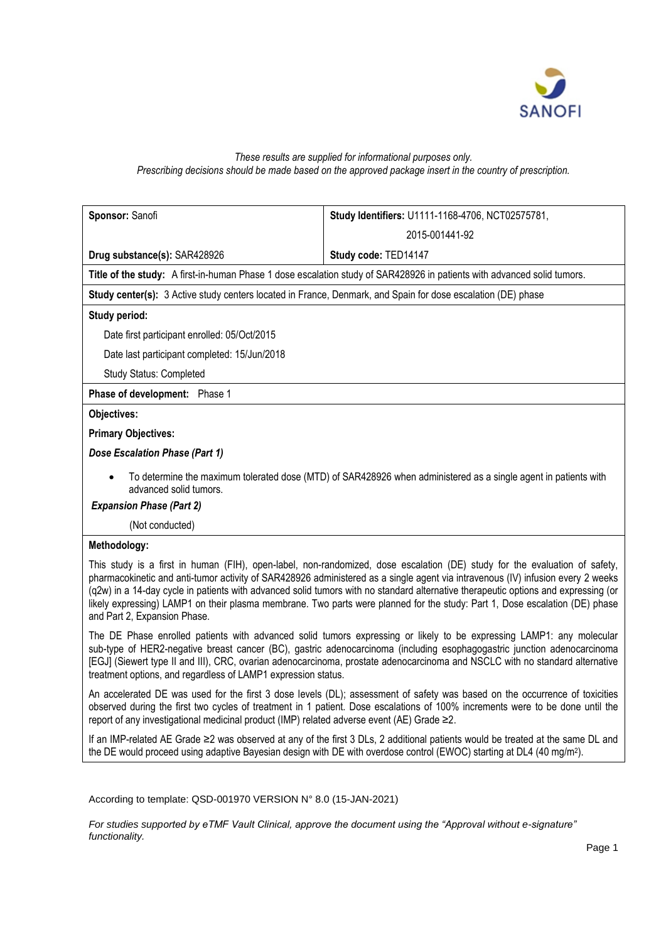

# *These results are supplied for informational purposes only. Prescribing decisions should be made based on the approved package insert in the country of prescription.*

| Sponsor: Sanofi                                                                                                                                                                                                                                                                                                                                                                                                                                                                                                                                                    | Study Identifiers: U1111-1168-4706, NCT02575781,                                                                                                                                                                                                             |
|--------------------------------------------------------------------------------------------------------------------------------------------------------------------------------------------------------------------------------------------------------------------------------------------------------------------------------------------------------------------------------------------------------------------------------------------------------------------------------------------------------------------------------------------------------------------|--------------------------------------------------------------------------------------------------------------------------------------------------------------------------------------------------------------------------------------------------------------|
|                                                                                                                                                                                                                                                                                                                                                                                                                                                                                                                                                                    | 2015-001441-92                                                                                                                                                                                                                                               |
| Drug substance(s): SAR428926                                                                                                                                                                                                                                                                                                                                                                                                                                                                                                                                       | Study code: TED14147                                                                                                                                                                                                                                         |
| Title of the study: A first-in-human Phase 1 dose escalation study of SAR428926 in patients with advanced solid tumors.                                                                                                                                                                                                                                                                                                                                                                                                                                            |                                                                                                                                                                                                                                                              |
| Study center(s): 3 Active study centers located in France, Denmark, and Spain for dose escalation (DE) phase                                                                                                                                                                                                                                                                                                                                                                                                                                                       |                                                                                                                                                                                                                                                              |
| Study period:                                                                                                                                                                                                                                                                                                                                                                                                                                                                                                                                                      |                                                                                                                                                                                                                                                              |
| Date first participant enrolled: 05/Oct/2015                                                                                                                                                                                                                                                                                                                                                                                                                                                                                                                       |                                                                                                                                                                                                                                                              |
| Date last participant completed: 15/Jun/2018                                                                                                                                                                                                                                                                                                                                                                                                                                                                                                                       |                                                                                                                                                                                                                                                              |
| Study Status: Completed                                                                                                                                                                                                                                                                                                                                                                                                                                                                                                                                            |                                                                                                                                                                                                                                                              |
| Phase of development: Phase 1                                                                                                                                                                                                                                                                                                                                                                                                                                                                                                                                      |                                                                                                                                                                                                                                                              |
| <b>Objectives:</b>                                                                                                                                                                                                                                                                                                                                                                                                                                                                                                                                                 |                                                                                                                                                                                                                                                              |
| <b>Primary Objectives:</b>                                                                                                                                                                                                                                                                                                                                                                                                                                                                                                                                         |                                                                                                                                                                                                                                                              |
| Dose Escalation Phase (Part 1)                                                                                                                                                                                                                                                                                                                                                                                                                                                                                                                                     |                                                                                                                                                                                                                                                              |
| To determine the maximum tolerated dose (MTD) of SAR428926 when administered as a single agent in patients with<br>advanced solid tumors.                                                                                                                                                                                                                                                                                                                                                                                                                          |                                                                                                                                                                                                                                                              |
| <b>Expansion Phase (Part 2)</b>                                                                                                                                                                                                                                                                                                                                                                                                                                                                                                                                    |                                                                                                                                                                                                                                                              |
| (Not conducted)                                                                                                                                                                                                                                                                                                                                                                                                                                                                                                                                                    |                                                                                                                                                                                                                                                              |
| Methodology:                                                                                                                                                                                                                                                                                                                                                                                                                                                                                                                                                       |                                                                                                                                                                                                                                                              |
| This study is a first in human (FIH), open-label, non-randomized, dose escalation (DE) study for the evaluation of safety,<br>pharmacokinetic and anti-tumor activity of SAR428926 administered as a single agent via intravenous (IV) infusion every 2 weeks<br>(q2w) in a 14-day cycle in patients with advanced solid tumors with no standard alternative therapeutic options and expressing (or<br>likely expressing) LAMP1 on their plasma membrane. Two parts were planned for the study: Part 1, Dose escalation (DE) phase<br>and Part 2, Expansion Phase. |                                                                                                                                                                                                                                                              |
| The DE Phase enrolled patients with advanced solid tumors expressing or likely to be expressing LAMP1: any molecular<br>sub-type of HER2-negative breast cancer (BC), gastric adenocarcinoma (including esophagogastric junction adenocarcinoma<br>[EGJ] (Siewert type II and III), CRC, ovarian adenocarcinoma, prostate adenocarcinoma and NSCLC with no standard alternative<br>treatment options, and regardless of LAMP1 expression status.                                                                                                                   |                                                                                                                                                                                                                                                              |
| report of any investigational medicinal product (IMP) related adverse event (AE) Grade ≥2.                                                                                                                                                                                                                                                                                                                                                                                                                                                                         | An accelerated DE was used for the first 3 dose levels (DL); assessment of safety was based on the occurrence of toxicities<br>observed during the first two cycles of treatment in 1 patient. Dose escalations of 100% increments were to be done until the |
| $\mathbf{r}$ , $\mathbf{r}$ , $\mathbf{r}$ , $\mathbf{r}$ , $\mathbf{r}$ , $\mathbf{r}$ , $\mathbf{r}$ , $\mathbf{r}$ , $\mathbf{r}$ , $\mathbf{r}$ , $\mathbf{r}$ , $\mathbf{r}$ , $\mathbf{r}$ , $\mathbf{r}$ , $\mathbf{r}$ , $\mathbf{r}$ , $\mathbf{r}$ , $\mathbf{r}$ , $\mathbf{r}$ , $\mathbf{r}$ ,                                                                                                                                                                                                                                                        |                                                                                                                                                                                                                                                              |

If an IMP-related AE Grade ≥2 was observed at any of the first 3 DLs, 2 additional patients would be treated at the same DL and the DE would proceed using adaptive Bayesian design with DE with overdose control (EWOC) starting at DL4 (40 mg/m<sup>2</sup>).

According to template: QSD-001970 VERSION N° 8.0 (15-JAN-2021)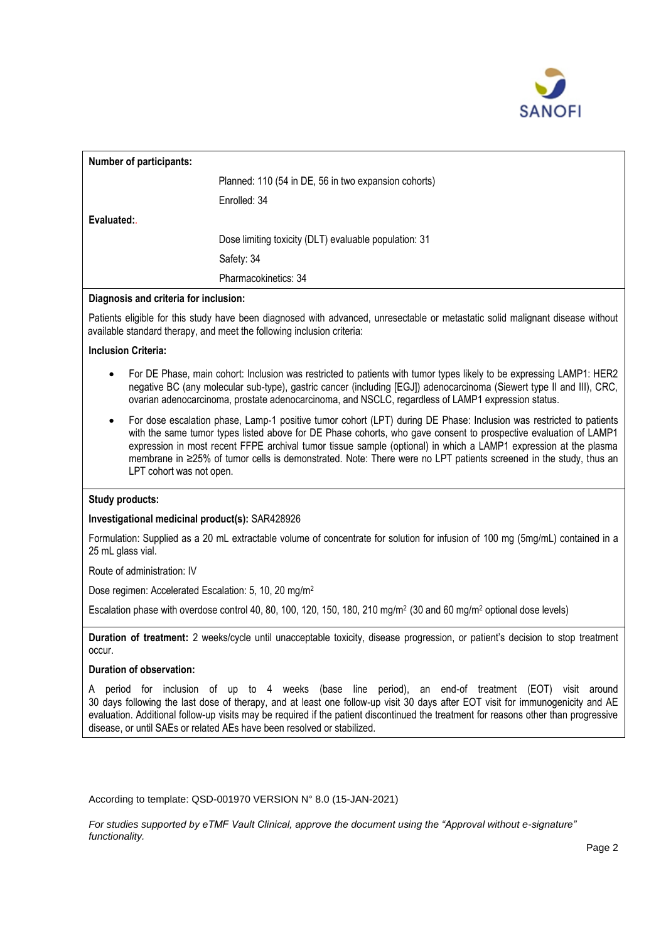

| <b>Number of participants:</b> |                                                       |
|--------------------------------|-------------------------------------------------------|
|                                | Planned: 110 (54 in DE, 56 in two expansion cohorts)  |
|                                | Enrolled: 34                                          |
| Evaluated:                     |                                                       |
|                                | Dose limiting toxicity (DLT) evaluable population: 31 |
|                                | Safety: 34                                            |
|                                | Pharmacokinetics: 34                                  |

# **Diagnosis and criteria for inclusion:**

Patients eligible for this study have been diagnosed with advanced, unresectable or metastatic solid malignant disease without available standard therapy, and meet the following inclusion criteria:

## **Inclusion Criteria:**

- For DE Phase, main cohort: Inclusion was restricted to patients with tumor types likely to be expressing LAMP1: HER2 negative BC (any molecular sub-type), gastric cancer (including [EGJ]) adenocarcinoma (Siewert type II and III), CRC, ovarian adenocarcinoma, prostate adenocarcinoma, and NSCLC, regardless of LAMP1 expression status.
- For dose escalation phase, Lamp-1 positive tumor cohort (LPT) during DE Phase: Inclusion was restricted to patients with the same tumor types listed above for DE Phase cohorts, who gave consent to prospective evaluation of LAMP1 expression in most recent FFPE archival tumor tissue sample (optional) in which a LAMP1 expression at the plasma membrane in ≥25% of tumor cells is demonstrated. Note: There were no LPT patients screened in the study, thus an LPT cohort was not open.

## **Study products:**

## **Investigational medicinal product(s):** SAR428926

Formulation: Supplied as a 20 mL extractable volume of concentrate for solution for infusion of 100 mg (5mg/mL) contained in a 25 mL glass vial.

Route of administration: IV

Dose regimen: Accelerated Escalation: 5, 10, 20 mg/m<sup>2</sup>

Escalation phase with overdose control 40, 80, 100, 120, 150, 180, 210 mg/m2 (30 and 60 mg/m<sup>2</sup> optional dose levels)

**Duration of treatment:** 2 weeks/cycle until unacceptable toxicity, disease progression, or patient's decision to stop treatment occur.

## **Duration of observation:**

A period for inclusion of up to 4 weeks (base line period), an end-of treatment (EOT) visit around 30 days following the last dose of therapy, and at least one follow-up visit 30 days after EOT visit for immunogenicity and AE evaluation. Additional follow-up visits may be required if the patient discontinued the treatment for reasons other than progressive disease, or until SAEs or related AEs have been resolved or stabilized.

According to template: QSD-001970 VERSION N° 8.0 (15-JAN-2021)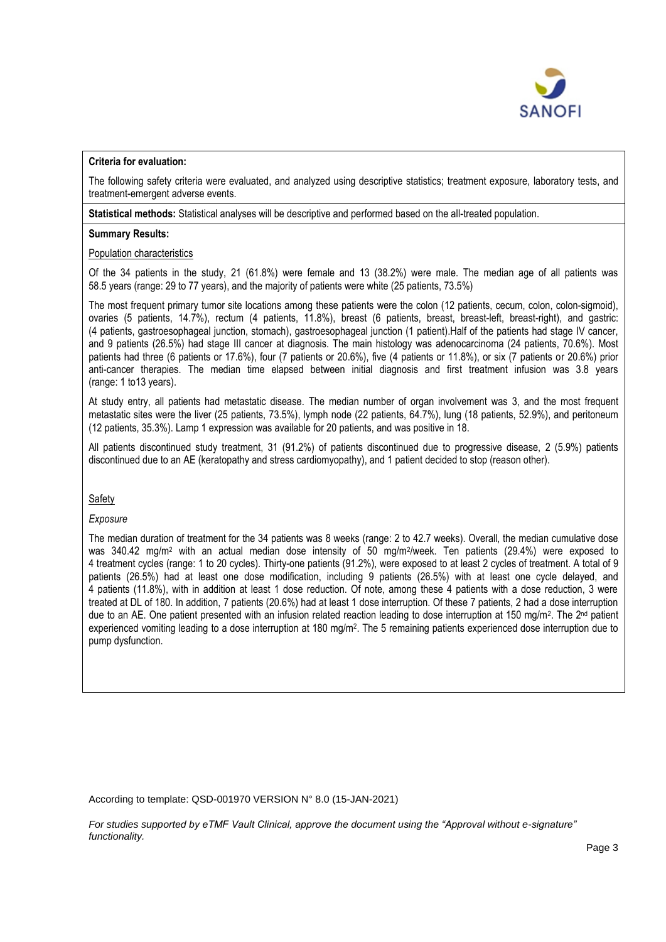

## **Criteria for evaluation:**

The following safety criteria were evaluated, and analyzed using descriptive statistics; treatment exposure, laboratory tests, and treatment-emergent adverse events.

**Statistical methods:** Statistical analyses will be descriptive and performed based on the all-treated population.

## **Summary Results:**

## Population characteristics

Of the 34 patients in the study, 21 (61.8%) were female and 13 (38.2%) were male. The median age of all patients was 58.5 years (range: 29 to 77 years), and the majority of patients were white (25 patients, 73.5%)

The most frequent primary tumor site locations among these patients were the colon (12 patients, cecum, colon, colon-sigmoid), ovaries (5 patients, 14.7%), rectum (4 patients, 11.8%), breast (6 patients, breast, breast-left, breast-right), and gastric: (4 patients, gastroesophageal junction, stomach), gastroesophageal junction (1 patient).Half of the patients had stage IV cancer, and 9 patients (26.5%) had stage III cancer at diagnosis. The main histology was adenocarcinoma (24 patients, 70.6%). Most patients had three (6 patients or 17.6%), four (7 patients or 20.6%), five (4 patients or 11.8%), or six (7 patients or 20.6%) prior anti-cancer therapies. The median time elapsed between initial diagnosis and first treatment infusion was 3.8 years (range: 1 to13 years).

At study entry, all patients had metastatic disease. The median number of organ involvement was 3, and the most frequent metastatic sites were the liver (25 patients, 73.5%), lymph node (22 patients, 64.7%), lung (18 patients, 52.9%), and peritoneum (12 patients, 35.3%). Lamp 1 expression was available for 20 patients, and was positive in 18.

All patients discontinued study treatment, 31 (91.2%) of patients discontinued due to progressive disease, 2 (5.9%) patients discontinued due to an AE (keratopathy and stress cardiomyopathy), and 1 patient decided to stop (reason other).

Safety

## *Exposure*

The median duration of treatment for the 34 patients was 8 weeks (range: 2 to 42.7 weeks). Overall, the median cumulative dose was 340.42 mg/m<sup>2</sup> with an actual median dose intensity of 50 mg/m<sup>2</sup>/week. Ten patients (29.4%) were exposed to 4 treatment cycles (range: 1 to 20 cycles). Thirty-one patients (91.2%), were exposed to at least 2 cycles of treatment. A total of 9 patients (26.5%) had at least one dose modification, including 9 patients (26.5%) with at least one cycle delayed, and 4 patients (11.8%), with in addition at least 1 dose reduction. Of note, among these 4 patients with a dose reduction, 3 were treated at DL of 180. In addition, 7 patients (20.6%) had at least 1 dose interruption. Of these 7 patients, 2 had a dose interruption due to an AE. One patient presented with an infusion related reaction leading to dose interruption at 150 mg/m<sup>2</sup>. The 2<sup>nd</sup> patient experienced vomiting leading to a dose interruption at 180 mg/m<sup>2</sup>. The 5 remaining patients experienced dose interruption due to pump dysfunction.

According to template: QSD-001970 VERSION N° 8.0 (15-JAN-2021)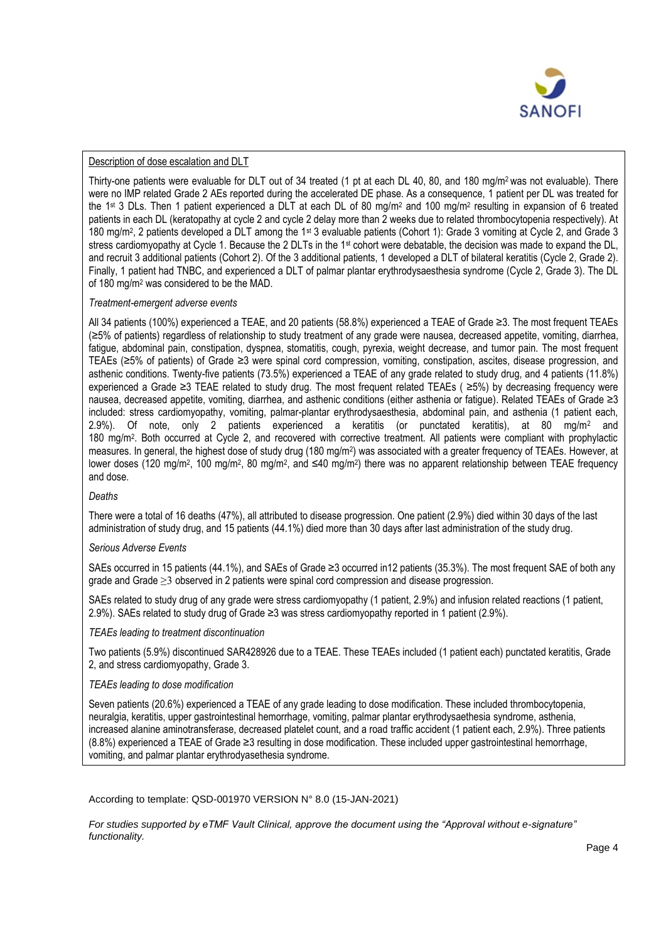

# Description of dose escalation and DLT

Thirty-one patients were evaluable for DLT out of 34 treated (1 pt at each DL 40, 80, and 180 mg/m<sup>2</sup> was not evaluable). There were no IMP related Grade 2 AEs reported during the accelerated DE phase. As a consequence, 1 patient per DL was treated for the 1st 3 DLs. Then 1 patient experienced a DLT at each DL of 80 mg/m<sup>2</sup> and 100 mg/m<sup>2</sup> resulting in expansion of 6 treated patients in each DL (keratopathy at cycle 2 and cycle 2 delay more than 2 weeks due to related thrombocytopenia respectively). At 180 mg/m<sup>2</sup>, 2 patients developed a DLT among the 1<sup>st</sup> 3 evaluable patients (Cohort 1): Grade 3 vomiting at Cycle 2, and Grade 3 stress cardiomyopathy at Cycle 1. Because the 2 DLTs in the 1<sup>st</sup> cohort were debatable, the decision was made to expand the DL, and recruit 3 additional patients (Cohort 2). Of the 3 additional patients, 1 developed a DLT of bilateral keratitis (Cycle 2, Grade 2). Finally, 1 patient had TNBC, and experienced a DLT of palmar plantar erythrodysaesthesia syndrome (Cycle 2, Grade 3). The DL of 180 mg/m<sup>2</sup> was considered to be the MAD.

## *Treatment-emergent adverse events*

All 34 patients (100%) experienced a TEAE, and 20 patients (58.8%) experienced a TEAE of Grade ≥3. The most frequent TEAEs (≥5% of patients) regardless of relationship to study treatment of any grade were nausea, decreased appetite, vomiting, diarrhea, fatigue, abdominal pain, constipation, dyspnea, stomatitis, cough, pyrexia, weight decrease, and tumor pain. The most frequent TEAEs (≥5% of patients) of Grade ≥3 were spinal cord compression, vomiting, constipation, ascites, disease progression, and asthenic conditions. Twenty-five patients (73.5%) experienced a TEAE of any grade related to study drug, and 4 patients (11.8%) experienced a Grade ≥3 TEAE related to study drug. The most frequent related TEAEs ( ≥5%) by decreasing frequency were nausea, decreased appetite, vomiting, diarrhea, and asthenic conditions (either asthenia or fatigue). Related TEAEs of Grade ≥3 included: stress cardiomyopathy, vomiting, palmar-plantar erythrodysaesthesia, abdominal pain, and asthenia (1 patient each, 2.9%). Of note, only 2 patients experienced a keratitis (or punctated keratitis), at 80 mg/m<sup>2</sup> and 180 mg/m<sup>2</sup>. Both occurred at Cycle 2, and recovered with corrective treatment. All patients were compliant with prophylactic measures. In general, the highest dose of study drug (180 mg/m<sup>2</sup>) was associated with a greater frequency of TEAEs. However, at lower doses (120 mg/m<sup>2</sup>, 100 mg/m<sup>2</sup>, 80 mg/m<sup>2</sup>, and ≤40 mg/m<sup>2</sup>) there was no apparent relationship between TEAE frequency and dose.

## *Deaths*

There were a total of 16 deaths (47%), all attributed to disease progression. One patient (2.9%) died within 30 days of the last administration of study drug, and 15 patients (44.1%) died more than 30 days after last administration of the study drug.

# *Serious Adverse Events*

SAEs occurred in 15 patients (44.1%), and SAEs of Grade ≥3 occurred in12 patients (35.3%). The most frequent SAE of both any grade and Grade ≥3 observed in 2 patients were spinal cord compression and disease progression.

SAEs related to study drug of any grade were stress cardiomyopathy (1 patient, 2.9%) and infusion related reactions (1 patient, 2.9%). SAEs related to study drug of Grade ≥3 was stress cardiomyopathy reported in 1 patient (2.9%).

*TEAEs leading to treatment discontinuation*

Two patients (5.9%) discontinued SAR428926 due to a TEAE. These TEAEs included (1 patient each) punctated keratitis, Grade 2, and stress cardiomyopathy, Grade 3.

# *TEAEs leading to dose modification*

Seven patients (20.6%) experienced a TEAE of any grade leading to dose modification. These included thrombocytopenia, neuralgia, keratitis, upper gastrointestinal hemorrhage, vomiting, palmar plantar erythrodysaethesia syndrome, asthenia, increased alanine aminotransferase, decreased platelet count, and a road traffic accident (1 patient each, 2.9%). Three patients (8.8%) experienced a TEAE of Grade ≥3 resulting in dose modification. These included upper gastrointestinal hemorrhage, vomiting, and palmar plantar erythrodyasethesia syndrome.

According to template: QSD-001970 VERSION N° 8.0 (15-JAN-2021)